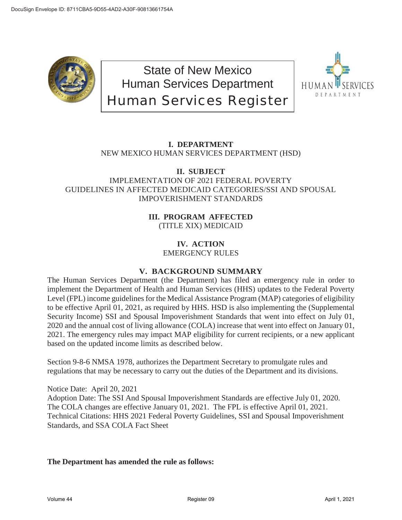

State of New Mexico Human Services Department Human Services Register



# **I. DEPARTMENT** NEW MEXICO HUMAN SERVICES DEPARTMENT (HSD)

### **II. SUBJECT** IMPLEMENTATION OF 2021 FEDERAL POVERTY GUIDELINES IN AFFECTED MEDICAID CATEGORIES/SSI AND SPOUSAL IMPOVERISHMENT STANDARDS

### **III. PROGRAM AFFECTED** (TITLE XIX) MEDICAID

### **IV. ACTION** EMERGENCY RULES

## **V. BACKGROUND SUMMARY**

The Human Services Department (the Department) has filed an emergency rule in order to implement the Department of Health and Human Services (HHS) updates to the Federal Poverty Level (FPL) income guidelines for the Medical Assistance Program (MAP) categories of eligibility to be effective April 01, 2021, as required by HHS. HSD is also implementing the (Supplemental Security Income) SSI and Spousal Impoverishment Standards that went into effect on July 01, 2020 and the annual cost of living allowance (COLA) increase that went into effect on January 01, 2021. The emergency rules may impact MAP eligibility for current recipients, or a new applicant based on the updated income limits as described below.

Section 9-8-6 NMSA 1978, authorizes the Department Secretary to promulgate rules and regulations that may be necessary to carry out the duties of the Department and its divisions.

Notice Date: April 20, 2021 Adoption Date: The SSI And Spousal Impoverishment Standards are effective July 01, 2020. The COLA changes are effective January 01, 2021. The FPL is effective April 01, 2021. Technical Citations: HHS 2021 Federal Poverty Guidelines, SSI and Spousal Impoverishment Standards, and SSA COLA Fact Sheet

## **The Department has amended the rule as follows:**